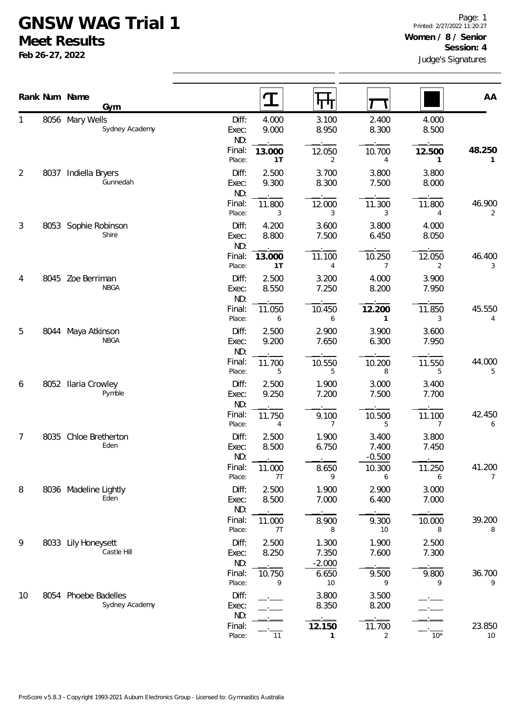## **GNSW WAG Trial 1**

**Meet Results**

**Feb 26-27, 2022**

|                |      | Rank Num Name<br>Gym                   |                       |                |                            |                            |                          |              |
|----------------|------|----------------------------------------|-----------------------|----------------|----------------------------|----------------------------|--------------------------|--------------|
|                |      |                                        |                       | $\mathbf T$    | पाण                        |                            |                          | AA           |
| 1              |      | 8056 Mary Wells<br>Sydney Academy      | Diff:<br>Exec:<br>ND: | 4.000<br>9.000 | 3.100<br>8.950             | 2.400<br>8.300             | 4.000<br>8.500           |              |
|                |      |                                        | Final:<br>Place:      | 13.000<br>1T   | 12.050<br>$\overline{2}$   | 10.700<br>4                | 12.500<br>1              | 48.250<br>1  |
| $\overline{2}$ | 8037 | Indiella Bryers<br>Gunnedah            | Diff:<br>Exec:<br>ND: | 2.500<br>9.300 | 3.700<br>8.300             | 3.800<br>7.500             | 3.800<br>8.000           |              |
|                |      |                                        | Final:<br>Place:      | 11.800<br>3    | 12.000<br>3                | 11.300<br>3                | 11.800<br>4              | 46.900<br>2  |
| $\mathfrak{Z}$ |      | 8053 Sophie Robinson<br>Shire          | Diff:<br>Exec:<br>ND: | 4.200<br>8.800 | 3.600<br>7.500             | 3.800<br>6.450             | 4.000<br>8.050           |              |
|                |      |                                        | Final:<br>Place:      | 13.000<br>1T   | 11.100<br>$\overline{4}$   | 10.250<br>$\overline{7}$   | 12.050<br>$\overline{2}$ | 46.400<br>3  |
| 4              |      | 8045 Zoe Berriman<br><b>NBGA</b>       | Diff:<br>Exec:<br>ND: | 2.500<br>8.550 | 3.200<br>7.250             | 4.000<br>8.200             | 3.900<br>7.950           |              |
|                |      |                                        | Final:<br>Place:      | 11.050<br>6    | 10.450<br>6                | 12.200<br>1                | 11.850<br>3              | 45.550<br>4  |
| 5              |      | 8044 Maya Atkinson<br><b>NBGA</b>      | Diff:<br>Exec:<br>ND: | 2.500<br>9.200 | 2.900<br>7.650             | 3.900<br>6.300             | 3.600<br>7.950           |              |
|                |      |                                        | Final:<br>Place:      | 11.700<br>5    | 10.550<br>5                | 10.200<br>8                | 11.550<br>5              | 44.000<br>5  |
| 6              | 8052 | <b>Ilaria Crowley</b><br>Pymble        | Diff:<br>Exec:<br>ND: | 2.500<br>9.250 | 1.900<br>7.200             | 3.000<br>7.500             | 3.400<br>7.700           |              |
|                |      |                                        | Final:<br>Place:      | 11.750<br>4    | 9.100<br>$\overline{7}$    | 10.500<br>5                | 11.100<br>7              | 42.450<br>6  |
| 7              | 8035 | Chloe Bretherton<br>Eden               | Diff:<br>Exec:<br>ND: | 2.500<br>8.500 | 1.900<br>6.750             | 3.400<br>7.400<br>$-0.500$ | 3.800<br>7.450           |              |
|                |      |                                        | Final:<br>Place:      | 11.000<br>7T   | 8.650<br>9                 | 10.300<br>6                | 11.250<br>6              | 41.200<br>7  |
| 8              |      | 8036 Madeline Lightly<br>Eden          | Diff:<br>Exec:<br>ND: | 2.500<br>8.500 | 1.900<br>7.000             | 2.900<br>6.400             | 3.000<br>7.000           |              |
|                |      |                                        | Final:<br>Place:      | 11.000<br>7T   | 8.900<br>8                 | 9.300<br>10                | 10.000<br>8              | 39.200<br>8  |
| 9              |      | 8033 Lily Honeysett<br>Castle Hill     | Diff:<br>Exec:<br>ND: | 2.500<br>8.250 | 1.300<br>7.350<br>$-2.000$ | 1.900<br>7.600             | 2.500<br>7.300           |              |
|                |      |                                        | Final:<br>Place:      | 10.750<br>9    | 6.650<br>$10$              | 9.500<br>9                 | 9.800<br>9               | 36.700<br>9  |
| 10             |      | 8054 Phoebe Badelles<br>Sydney Academy | Diff:<br>Exec:<br>ND: |                | 3.800<br>8.350             | 3.500<br>8.200             |                          |              |
|                |      |                                        | Final:<br>Place:      | 11             | 12.150<br>$\mathbf{1}$     | 11.700<br>$\overline{2}$   | $10*$                    | 23.850<br>10 |